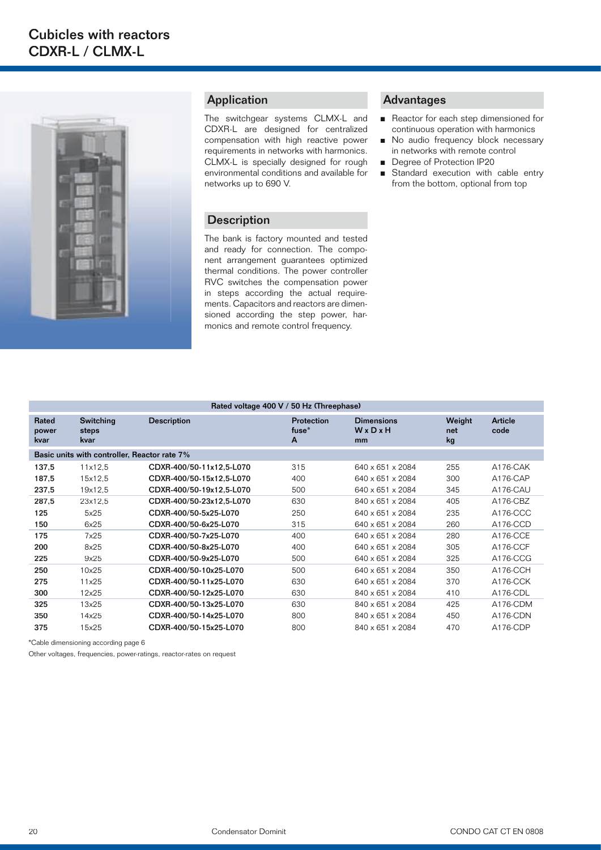

### Application

The switchgear systems CLMX-L and CDXR-L are designed for centralized compensation with high reactive power requirements in networks with harmonics. CLMX-L is specially designed for rough environmental conditions and available for networks up to 690 V.

#### **Description**

The bank is factory mounted and tested and ready for connection. The component arrangement guarantees optimized thermal conditions. The power controller RVC switches the compensation power in steps according the actual requirements. Capacitors and reactors are dimensioned according the step power, harmonics and remote control frequency.

### Advantages

- Reactor for each step dimensioned for continuous operation with harmonics
- No audio frequency block necessary in networks with remote control
- Degree of Protection IP20
- Standard execution with cable entry from the bottom, optional from top

| Rated voltage 400 V / 50 Hz (Threephase)     |                                   |                          |                          |                                  |                     |                 |  |  |
|----------------------------------------------|-----------------------------------|--------------------------|--------------------------|----------------------------------|---------------------|-----------------|--|--|
| Rated<br>power<br>kvar                       | <b>Switching</b><br>steps<br>kvar | <b>Description</b>       | Protection<br>fuse*<br>A | <b>Dimensions</b><br>WxDxH<br>mm | Weight<br>net<br>kg | Article<br>code |  |  |
| Basic units with controller, Reactor rate 7% |                                   |                          |                          |                                  |                     |                 |  |  |
| 137,5                                        | 11x12.5                           | CDXR-400/50-11x12,5-L070 | 315                      | 640 x 651 x 2084                 | 255                 | A176-CAK        |  |  |
| 187,5                                        | 15x12.5                           | CDXR-400/50-15x12.5-L070 | 400                      | 640 x 651 x 2084                 | 300                 | A176-CAP        |  |  |
| 237,5                                        | 19x12,5                           | CDXR-400/50-19x12.5-L070 | 500                      | 640 x 651 x 2084                 | 345                 | A176-CAU        |  |  |
| 287,5                                        | 23x12.5                           | CDXR-400/50-23x12,5-L070 | 630                      | 840 x 651 x 2084                 | 405                 | A176-CBZ        |  |  |
| 125                                          | 5x25                              | CDXR-400/50-5x25-L070    | 250                      | 640 x 651 x 2084                 | 235                 | A176-CCC        |  |  |
| 150                                          | 6x25                              | CDXR-400/50-6x25-L070    | 315                      | 640 x 651 x 2084                 | 260                 | A176-CCD        |  |  |
| 175                                          | 7x25                              | CDXR-400/50-7x25-L070    | 400                      | 640 x 651 x 2084                 | 280                 | A176-CCE        |  |  |
| 200                                          | 8x25                              | CDXR-400/50-8x25-L070    | 400                      | 640 x 651 x 2084                 | 305                 | A176-CCF        |  |  |
| 225                                          | 9x25                              | CDXR-400/50-9x25-L070    | 500                      | 640 x 651 x 2084                 | 325                 | A176-CCG        |  |  |
| 250                                          | 10x25                             | CDXR-400/50-10x25-L070   | 500                      | 640 x 651 x 2084                 | 350                 | A176-CCH        |  |  |
| 275                                          | 11x25                             | CDXR-400/50-11x25-L070   | 630                      | 640 x 651 x 2084                 | 370                 | A176-CCK        |  |  |
| 300                                          | 12x25                             | CDXR-400/50-12x25-L070   | 630                      | 840 x 651 x 2084                 | 410                 | A176-CDL        |  |  |
| 325                                          | 13x25                             | CDXR-400/50-13x25-L070   | 630                      | 840 x 651 x 2084                 | 425                 | A176-CDM        |  |  |
| 350                                          | 14x25                             | CDXR-400/50-14x25-L070   | 800                      | 840 x 651 x 2084                 | 450                 | A176-CDN        |  |  |
| 375                                          | 15x25                             | CDXR-400/50-15x25-L070   | 800                      | 840 x 651 x 2084                 | 470                 | A176-CDP        |  |  |

\*Cable dimensioning according page 6

Other voltages, frequencies, power-ratings, reactor-rates on request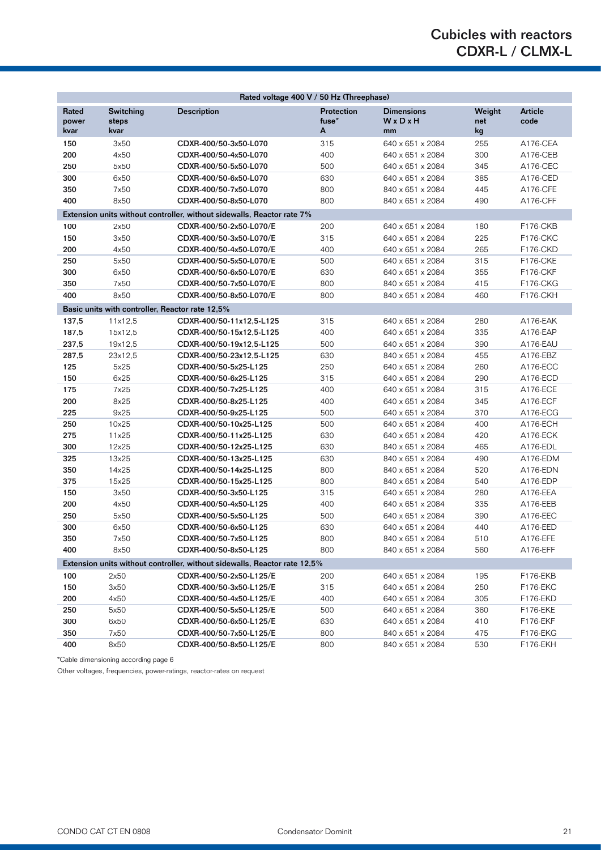# Cubicles with reactors CDXR-L / CLMX-L

| Rated voltage 400 V / 50 Hz (Threephase)                                  |                                                 |                          |                          |                                  |                     |                 |  |  |
|---------------------------------------------------------------------------|-------------------------------------------------|--------------------------|--------------------------|----------------------------------|---------------------|-----------------|--|--|
| Rated<br>power<br>kvar                                                    | Switching<br>steps<br>kvar                      | <b>Description</b>       | Protection<br>fuse*<br>A | <b>Dimensions</b><br>WxDxH<br>mm | Weight<br>net<br>kg | Article<br>code |  |  |
| 150                                                                       | 3x50                                            | CDXR-400/50-3x50-L070    | 315                      | 640 x 651 x 2084                 | 255                 | A176-CEA        |  |  |
| 200                                                                       | 4x50                                            | CDXR-400/50-4x50-L070    | 400                      | 640 x 651 x 2084                 | 300                 | A176-CEB        |  |  |
| 250                                                                       | 5x50                                            | CDXR-400/50-5x50-L070    | 500                      | 640 x 651 x 2084                 | 345                 | A176-CEC        |  |  |
| 300                                                                       | 6x50                                            | CDXR-400/50-6x50-L070    | 630                      | 640 x 651 x 2084                 | 385                 | A176-CED        |  |  |
| 350                                                                       | 7x50                                            | CDXR-400/50-7x50-L070    | 800                      | 840 x 651 x 2084                 | 445                 | A176-CFE        |  |  |
| 400                                                                       | 8x50                                            | CDXR-400/50-8x50-L070    | 800                      | 840 x 651 x 2084                 | 490                 | A176-CFF        |  |  |
| Extension units without controller, without sidewalls, Reactor rate 7%    |                                                 |                          |                          |                                  |                     |                 |  |  |
| 100                                                                       | 2x50                                            | CDXR-400/50-2x50-L070/E  | 200                      | 640 x 651 x 2084                 | 180                 | <b>F176-CKB</b> |  |  |
| 150                                                                       | 3x50                                            | CDXR-400/50-3x50-L070/E  | 315                      | 640 x 651 x 2084                 | 225                 | <b>F176-CKC</b> |  |  |
| 200                                                                       | 4x50                                            | CDXR-400/50-4x50-L070/E  | 400                      | 640 x 651 x 2084                 | 265                 | <b>F176-CKD</b> |  |  |
| 250                                                                       | 5x50                                            | CDXR-400/50-5x50-L070/E  | 500                      | 640 x 651 x 2084                 | 315                 | <b>F176-CKE</b> |  |  |
| 300                                                                       | 6x50                                            | CDXR-400/50-6x50-L070/E  | 630                      | 640 x 651 x 2084                 | 355                 | <b>F176-CKF</b> |  |  |
| 350                                                                       | 7x50                                            | CDXR-400/50-7x50-L070/E  | 800                      | 840 x 651 x 2084                 | 415                 | <b>F176-CKG</b> |  |  |
| 400                                                                       | 8x50                                            | CDXR-400/50-8x50-L070/E  | 800                      | 840 x 651 x 2084                 | 460                 | <b>F176-CKH</b> |  |  |
|                                                                           | Basic units with controller, Reactor rate 12,5% |                          |                          |                                  |                     |                 |  |  |
| 137,5                                                                     | 11x12.5                                         | CDXR-400/50-11x12,5-L125 | 315                      | 640 x 651 x 2084                 | 280                 | A176-EAK        |  |  |
| 187,5                                                                     | 15x12,5                                         | CDXR-400/50-15x12,5-L125 | 400                      | 640 x 651 x 2084                 | 335                 | A176-EAP        |  |  |
| 237,5                                                                     | 19x12,5                                         | CDXR-400/50-19x12,5-L125 | 500                      | 640 x 651 x 2084                 | 390                 | A176-EAU        |  |  |
| 287,5                                                                     | 23x12,5                                         | CDXR-400/50-23x12,5-L125 | 630                      | 840 x 651 x 2084                 | 455                 | A176-EBZ        |  |  |
| 125                                                                       | 5x25                                            | CDXR-400/50-5x25-L125    | 250                      | 640 x 651 x 2084                 | 260                 | A176-ECC        |  |  |
| 150                                                                       | 6x25                                            | CDXR-400/50-6x25-L125    | 315                      | 640 x 651 x 2084                 | 290                 | A176-ECD        |  |  |
| 175                                                                       | 7x25                                            | CDXR-400/50-7x25-L125    | 400                      | 640 x 651 x 2084                 | 315                 | A176-ECE        |  |  |
| 200                                                                       | 8x25                                            | CDXR-400/50-8x25-L125    | 400                      | 640 x 651 x 2084                 | 345                 | A176-ECF        |  |  |
| 225                                                                       | 9x25                                            | CDXR-400/50-9x25-L125    | 500                      | 640 x 651 x 2084                 | 370                 | A176-ECG        |  |  |
| 250                                                                       | 10x25                                           | CDXR-400/50-10x25-L125   | 500                      | 640 x 651 x 2084                 | 400                 | A176-ECH        |  |  |
| 275                                                                       | 11x25                                           | CDXR-400/50-11x25-L125   | 630                      | 640 x 651 x 2084                 | 420                 | A176-ECK        |  |  |
| 300                                                                       | 12x25                                           | CDXR-400/50-12x25-L125   | 630                      | 840 x 651 x 2084                 | 465                 | A176-EDL        |  |  |
| 325                                                                       | 13x25                                           | CDXR-400/50-13x25-L125   | 630                      | 840 x 651 x 2084                 | 490                 | A176-EDM        |  |  |
| 350                                                                       | 14x25                                           | CDXR-400/50-14x25-L125   | 800                      | 840 x 651 x 2084                 | 520                 | A176-EDN        |  |  |
| 375                                                                       | 15x25                                           | CDXR-400/50-15x25-L125   | 800                      | 840 x 651 x 2084                 | 540                 | A176-EDP        |  |  |
| 150                                                                       | 3x50                                            | CDXR-400/50-3x50-L125    | 315                      | 640 x 651 x 2084                 | 280                 | A176-EEA        |  |  |
| 200                                                                       | 4x50                                            | CDXR-400/50-4x50-L125    | 400                      | 640 x 651 x 2084                 | 335                 | A176-EEB        |  |  |
| 250                                                                       | 5x50                                            | CDXR-400/50-5x50-L125    | 500                      | 640 x 651 x 2084                 | 390                 | A176-EEC        |  |  |
| 300                                                                       | 6x50                                            | CDXR-400/50-6x50-L125    | 630                      | 640 x 651 x 2084                 | 440                 | A176-EED        |  |  |
| 350                                                                       | 7x50                                            | CDXR-400/50-7x50-L125    | 800                      | 840 x 651 x 2084                 | 510                 | A176-EFE        |  |  |
| 400                                                                       | 8x50                                            | CDXR-400/50-8x50-L125    | 800                      | 840 x 651 x 2084                 | 560                 | A176-EFF        |  |  |
| Extension units without controller, without sidewalls, Reactor rate 12,5% |                                                 |                          |                          |                                  |                     |                 |  |  |
| 100                                                                       | 2x50                                            | CDXR-400/50-2x50-L125/E  | 200                      | 640 x 651 x 2084                 | 195                 | F176-EKB        |  |  |
| 150                                                                       | 3x50                                            | CDXR-400/50-3x50-L125/E  | 315                      | 640 x 651 x 2084                 | 250                 | <b>F176-EKC</b> |  |  |
| 200                                                                       | 4x50                                            | CDXR-400/50-4x50-L125/E  | 400                      | 640 x 651 x 2084                 | 305                 | F176-EKD        |  |  |
| 250                                                                       | 5x50                                            | CDXR-400/50-5x50-L125/E  | 500                      | 640 x 651 x 2084                 | 360                 | F176-EKE        |  |  |
| 300                                                                       | 6x50                                            | CDXR-400/50-6x50-L125/E  | 630                      | 640 x 651 x 2084                 | 410                 | F176-EKF        |  |  |
| 350                                                                       | 7x50                                            | CDXR-400/50-7x50-L125/E  | 800                      | 840 x 651 x 2084                 | 475                 | F176-EKG        |  |  |
| 400                                                                       | 8x50                                            | CDXR-400/50-8x50-L125/E  | 800                      | 840 x 651 x 2084                 | 530                 | F176-EKH        |  |  |

\*Cable dimensioning according page 6

Other voltages, frequencies, power-ratings, reactor-rates on request